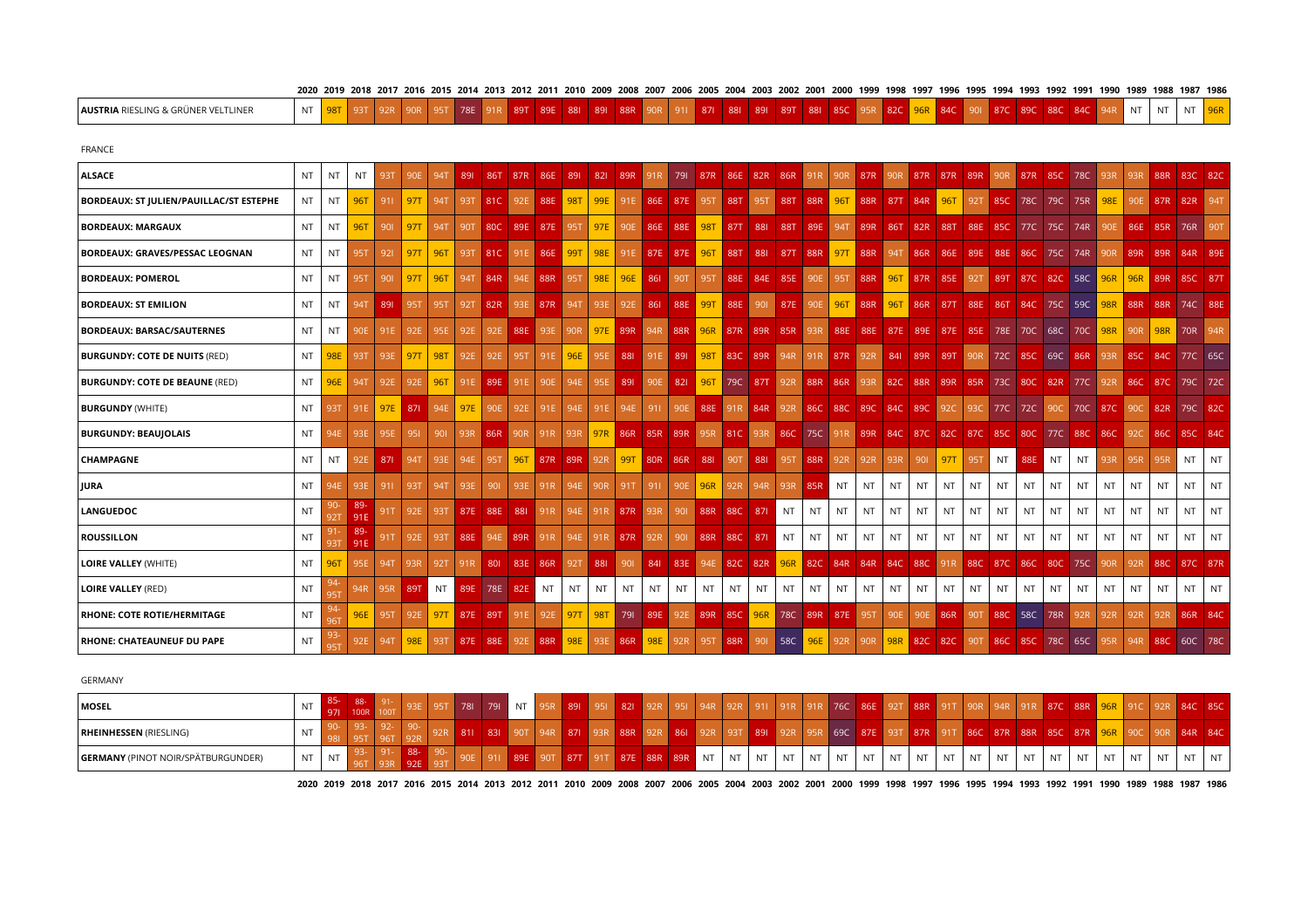| <b>AUSTRIA</b> RIESLING & GRÜNER VELTLINER     | NT        | 98T        | 93T        | 92R        | 90 <sub>R</sub> | 95T        | 78E        | 91R         | 89T        | 89E             | 881             | 891        | 88R | 90R                                 | 911     | 871                 | 881         | 891     | 89T         | 881       | 85C                                                             |     | 95R 82C 96R |           | 84C                             | 901       |             | 87C 89C         | 88C     | 84C                 | 94R | <b>NT</b>       | <b>NT</b>                                                                       | <b>NT</b> | 96R          |
|------------------------------------------------|-----------|------------|------------|------------|-----------------|------------|------------|-------------|------------|-----------------|-----------------|------------|-----|-------------------------------------|---------|---------------------|-------------|---------|-------------|-----------|-----------------------------------------------------------------|-----|-------------|-----------|---------------------------------|-----------|-------------|-----------------|---------|---------------------|-----|-----------------|---------------------------------------------------------------------------------|-----------|--------------|
| <b>FRANCE</b>                                  |           |            |            |            |                 |            |            |             |            |                 |                 |            |     |                                     |         |                     |             |         |             |           |                                                                 |     |             |           |                                 |           |             |                 |         |                     |     |                 |                                                                                 |           |              |
| ALSACE                                         | NT        | NT         | <b>NT</b>  | 93T        | 90E             | <b>94T</b> | 891        | 86T         | 87R        | 86E             | 891             | 821        | 89R | $\sqrt{91R}$                        | 791     | 87R                 | 86E         | 82R     | 86R         |           | 91R 90R                                                         | 87R |             |           | 90R 87R 87R 89R                 |           | 90R         |                 | 87R 85C | 78C                 | 93R | 93R             | 88R                                                                             |           | 83C 82C      |
| <b>BORDEAUX: ST JULIEN/PAUILLAC/ST ESTEPHE</b> | NT        | NT.        | 96T        | 911        | <b>97T</b>      | 94T        | 93T        | ∥81C        |            | 92E 88E         | $\parallel$ 98T | 99E        |     | 91E 86E 87E                         |         | 95T                 | 88T         | 95T     |             | 88T 88R   | 96T                                                             |     |             |           | 88R 87T 84R 96T                 |           |             | 92T 85C 78C     | 79C     | 75R                 | 98E | 90E             |                                                                                 | 87R 82R   | $\sqrt{941}$ |
| BORDEAUX: MARGAUX                              | NT.       | NT.        | 96T        | 901        | 97T             | 94T        | 90T        | 80C 89E     |            |                 | 87E 95T         | 97E        |     | 90E 86E 88E                         |         |                     | 98T 87T 88I |         |             |           | 88T   89E   94T   89R   86T   82R   88T   88E   85C   77C   75C |     |             |           |                                 |           |             |                 |         | 74R                 | 90E |                 | 86E 85R                                                                         | 76R       | 90T          |
| BORDEAUX: GRAVES/PESSAC LEOGNAN                | <b>NT</b> | NT         | <b>95T</b> | 921        | 97T             | 96T        | 93T        | l 81C       |            | 91E 86E         | ll 99T          | 98E        |     | 91E 87E 87E                         |         | 96T                 | 88T         | 881     |             | 87T 88R   | <b>1</b> 97T                                                    | 88R |             | 94T 86R   | 86E                             | 89E       |             | 88E 86C         | 75C     | 74R                 | 90R | 89R             | 89R                                                                             |           | 84R 89E      |
| <b>BORDEAUX: POMEROL</b>                       | NT.       | NT         | <b>95T</b> | 901        | <b>97T</b>      | 96T        | 94T        | 84R         |            | 94E 88R         | 95T             | 98E        | 96E | 861                                 | 90T     | 95T                 |             |         | 88E 84E 85E |           | 90E 95T 88R                                                     |     |             |           | 96T 87R 85E                     |           |             |                 |         | 92T 89T 87C 82C 58C | 96R | 96R             | 89R                                                                             |           | 85C 87T      |
| <b>BORDEAUX: ST EMILION</b>                    | NT        | NT.        | <b>94T</b> | 891        | <b>95T</b>      | <b>95T</b> | <b>92T</b> | 82R         |            | 93E 87R         | 94T             | 93E        | 92E | 861                                 | 88E     | 99T                 | 88E         | 901     | 87E         | 90E       | 96T                                                             | 88R | 96T         | 86R       | 87T                             |           | 88E 86T 84C |                 | 75C     | 59C                 |     | 98R 88R         | 88R                                                                             |           | 74C 88E      |
| <b>BORDEAUX: BARSAC/SAUTERNES</b>              | <b>NT</b> | <b>NT</b>  | 90E        | 91E        | 92E             | 95E        | 92E        |             | 92E 88E    | 93E             | 90R             |            |     | 97E 89R 94R 88R 96R 87R 89R 85R 93R |         |                     |             |         |             |           |                                                                 |     |             |           | 88E 88E 87E 89E 87E 85E         |           |             | 78E 70C 68C     |         |                     |     | 70C 98R 90R 98R |                                                                                 | 70R       | $\vert$ 94R  |
| <b>BURGUNDY: COTE DE NUITS (RED)</b>           | NT.       | 98E        | 93T        | 93E        | 97T             | <b>98T</b> | 92E        | 92E         | <b>95T</b> | 91E             | 96E             | 95E        | 881 |                                     | 91E 89I | 98T                 |             | 83C 89R | 94R         |           | 91R 87R                                                         | 92R |             | 84I 89R   | 89T 90R                         |           |             | 72C 85C         |         |                     |     |                 | 69C 86R 93R 85C 84C 77C 65C                                                     |           |              |
| <b>BURGUNDY: COTE DE BEAUNE (RED)</b>          | <b>NT</b> | 96E        | 94T        | 92E        | 92E             | 96T        | 91E        | 89E         | 91E        | 90E             | 94E             | 95E        | 891 | 90E                                 | 821     | 96T                 |             |         |             |           | 79C 87T 92R 88R 86R                                             |     | 93R 82C 88R |           |                                 |           |             |                 |         |                     |     |                 | 89R 85R 73C 80C 82R 77C 92R 86C 87C 79C 72C                                     |           |              |
| <b>BURGUNDY (WHITE)</b>                        | NT        | <b>93T</b> | 91E        | 97E        | 871             | 94E        | 97E        | 90E         | 92E        | 91E             | 94E             | 91E        | 94E | 911                                 | 90E     | 88E                 |             | 91R 84R | 92R         | 86C       | 88C                                                             |     | 89C 84C 89C |           | 92C                             | 93C       |             | 77C 72C         | 90C     |                     |     | 70C 87C 90C     | 82R                                                                             |           | 79C 82C      |
| <b>BURGUNDY: BEAUJOLAIS</b>                    | <b>NT</b> | 94E        | 93E        | 95E        | 951             | 901        |            | 93R 86R     | 90R        | 91 <sub>R</sub> | 93R             |            |     | 97R 86R 85R 89R                     |         |                     |             |         |             |           |                                                                 |     |             |           |                                 |           |             |                 |         |                     |     |                 | 95R 81C 93R 86C 75C 91R 89R 84C 87C 82C 87C 85C 80C 77C 88C 86C 92C 86C 85C 84C |           |              |
| <b>CHAMPAGNE</b>                               | NT        | NT.        | 92E        | 871        | 94T             | 93E        | 94E        | 95T         | 96T        |                 | 87R 89R         | 92R        | 99T | 80R 86R                             |         | 881                 | 90T         | 881     | 95T         |           | 88R 92R                                                         | 92R | 93R         | 901       | <b>97T</b>                      | 95T       | NT          | 88E             | NT      | NT                  | 93R | 95R             | 95R                                                                             | <b>NT</b> | NT           |
| JURA                                           | <b>NT</b> | 94E        | 93E        | 911        | 93T             | 94T        | 93E        | 901         | 93E        | 91R             | 94E             | 90R        | 91T | 911                                 | 90E     | 96R                 | 92R         | 94R     | 93R         | 85R       | <b>NT</b>                                                       | NT  | NT          | NT        | NT.                             | NT        | NT          | NT              | NT      | NT                  | NT  | NT              | NT                                                                              | <b>NT</b> | NT           |
| LANGUEDOC                                      | <b>NT</b> | 92T        | 89-<br>91E | 91T        | 92E             | 93T        | 87E        | 88E         | 881        | 91R             | 94E             | 91R        |     | 87R 93R                             | 901     | 88R                 | 88C         | 871     | <b>NT</b>   | NT        | <b>NT</b>                                                       | NT  | <b>NT</b>   | <b>NT</b> | <b>NT</b>                       | <b>NT</b> | NT          | <b>NT</b>       | NT      | <b>NT</b>           | NT. | <b>NT</b>       | <b>NT</b>                                                                       | <b>NT</b> | <b>NT</b>    |
| <b>ROUSSILLON</b>                              | <b>NT</b> | 93T        | -89<br>91E | <b>91T</b> | 92E             | 93T        |            | 88E 94E 89R |            | 91R             | 94E             |            |     | 91R 87R 92R                         | 901     | 88R 88C             |             | 871     | <b>NT</b>   | <b>NT</b> | <b>NT</b>                                                       | NT. | <b>NT</b>   | NT        | NT.                             | <b>NT</b> | <b>NT</b>   | <b>NT</b>       | NT      | <b>NT</b>           | NT  | <b>NT</b>       | <b>NT</b>                                                                       | <b>NT</b> | <b>NT</b>    |
| LOIRE VALLEY (WHITE)                           | <b>NT</b> | 96T        | 95E        | <b>94T</b> | 93R             | 92T        | 91R        |             |            | 801 83E 86R     | 92T             | 881        | 901 | 841                                 |         | 83E 94E 82C 82R 96R |             |         |             |           | 82C 84R 84R                                                     |     | 84C         |           | 88C 91R                         |           |             | 88C 87C 86C 80C |         | 75C                 | 90R | 92R             | 88C                                                                             |           | 87C 87R      |
| <b>LOIRE VALLEY (RED)</b>                      | <b>NT</b> | 95T        | 94R        | 95R        | 89T             | NT         | 89E        | 78E         | 82E        | <b>NT</b>       | NT              | NT         | NT. | NT.                                 | NT      | NT                  | NT          | NT      | NT          | NT        | <b>NT</b>                                                       | NT  | NT          | NT        | NT                              | NT        | <b>NT</b>   | NT              | NT      | NT                  | NT  | NT.             | NT                                                                              | <b>NT</b> | NT           |
| RHONE: COTE ROTIE/HERMITAGE                    | <b>NT</b> |            | 96E        | <b>95T</b> | 92E             | <b>97T</b> | 87E        | 89T         | 91E        | 92E             | 97T             | <b>98T</b> | 791 | 89E                                 | 92E     | 89R                 |             | 85C 96R | <b>78C</b>  | 89R       | 87E                                                             | 95T | 90E         |           | 90E 86R                         | 90T       |             | 88C 58C         | 78R     | 92R                 | 92R | 92R             | 92R                                                                             |           | 86R 84C      |
| <b>RHONE: CHATEAUNEUF DU PAPE</b>              | NT.       | 951        | 92E        | <b>94T</b> | 98E             | 93T        |            | 87E 88E     |            | 92E 88R 98E     |                 |            |     | 93E 86R 98E 92R                     |         | 95T                 | 88R 90I     |         | $ $ 58C     |           | 96E 92R                                                         | 90R |             |           | 98R 82C 82C 90T 86C 85C 78C 65C |           |             |                 |         |                     | 95R |                 | 94R 88C                                                                         |           | 60C 78C      |

| GERMANY                                   |           |     |             |     |     |     |         |            |      |            |    |           |                             |     |                 |     |           |           |           |                 |           |     |                             |           |             |           |             |      |
|-------------------------------------------|-----------|-----|-------------|-----|-----|-----|---------|------------|------|------------|----|-----------|-----------------------------|-----|-----------------|-----|-----------|-----------|-----------|-----------------|-----------|-----|-----------------------------|-----------|-------------|-----------|-------------|------|
| MOSEL                                     | ΝT        | 88- |             | 781 | 791 | NT  | 891     | 821        | -951 |            | Q  | $-911$    | $\sqrt{91R}$                |     | 76C             | 86E |           | 92T 88R   |           | 91T 90R 94R 91R |           | 87C | 88R 96R 91C                 |           |             |           | 92R 84C 85C |      |
| <b>RHEINHESSEN (RIESLING)</b>             | NI        |     |             |     | 831 |     | 871     | 88R        | 861  |            |    | 891       | $-40$ $-92R$                |     | 69C 87E 93T 87R |     |           |           | $91T$ 86C |                 | 87R 88R   | 85C |                             |           | 87R 96R 90C |           | 90R 84R 84C |      |
| <b>GERMANY</b> (PINOT NOIR/SPÄTBURGUNDER) | <b>NT</b> |     | -88-<br>92E |     |     | 89F | 90T 87T | <b>87E</b> |      | 88R 89R NT | NT | <b>NT</b> | $\overline{\phantom{a}}$ NT | NT. | <b>NT</b>       | NT  | <b>NT</b> | <b>NT</b> | <b>NT</b> | <b>NT</b>       | <b>NT</b> |     | $\overline{\phantom{a}}$ NT | <b>NT</b> | <b>NT</b>   | <b>NT</b> | NT          | l NT |

2020 2019 2018 2017 2016 2015 2014 2013 2012 2011 2010 2009 2008 2007 2006 2005 2004 2003 2002 2001 2000 1999 1998 1997 1996 1995 1994 1993 1992 1991 1990 1989 1988 1987 1986

2020 2019 2018 2017 2016 2015 2014 2013 2012 2011 2010 2009 2008 2007 2006 2005 2004 2003 2002 2001 2000 1999 1998 1997 1996 1997 1996 1994 1993 1992 1991 1990 1989 1988 1987 1986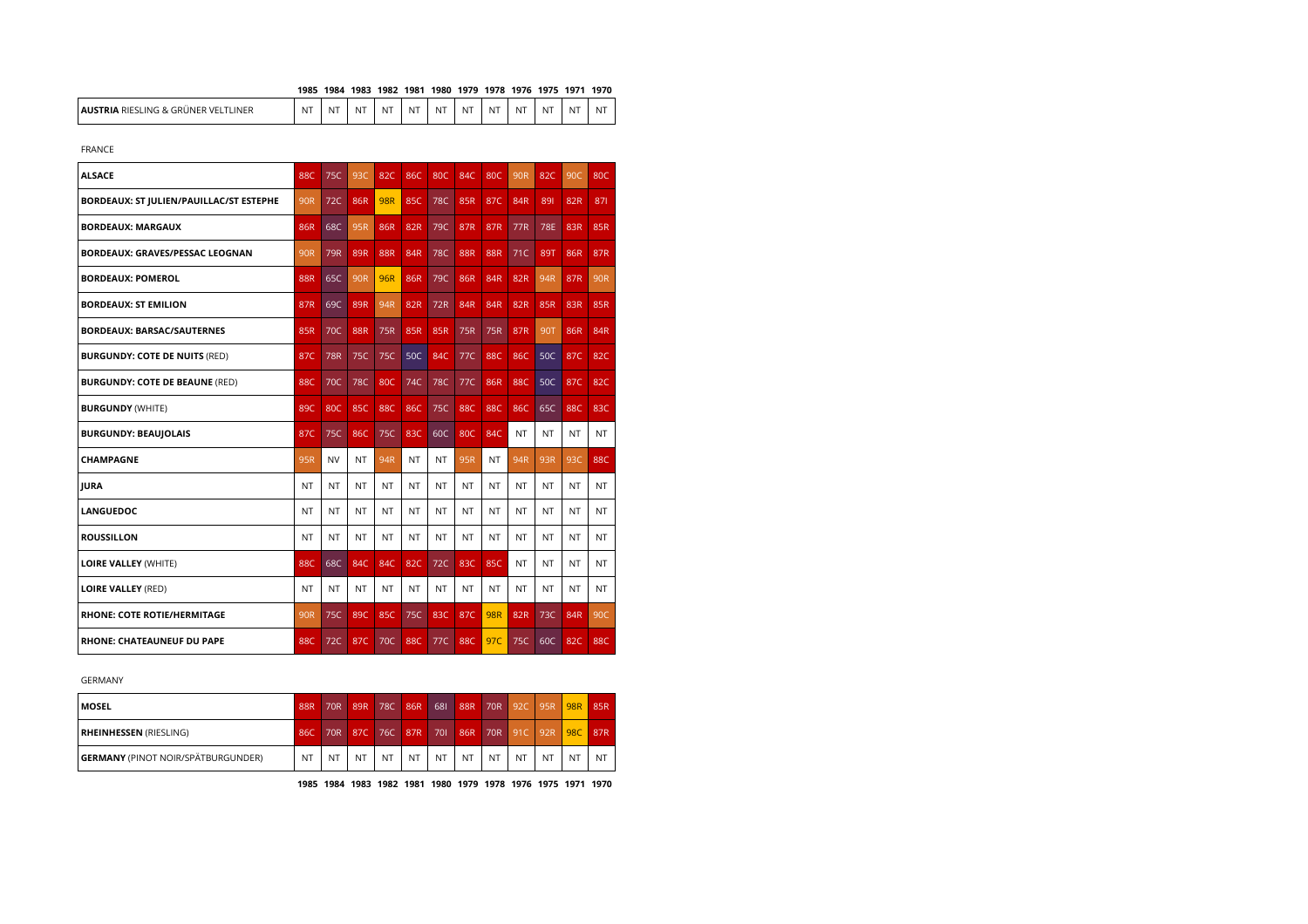## **1985 1984 1983 1982 1981 1980 1979 1978 1976 1975 1971 1970**

| INFR<br><b>IAUS</b><br><b>ING</b><br>VFI<br><b>RIFSI</b><br>86 G.R<br>های<br>⊶ INFP ' | <b>NT</b> | $\overline{\phantom{0}}$<br>NL. | $\sim$<br>NL | $\sim$<br>NL | N <sup>7</sup> | NT | $\overline{\phantom{a}}$<br>NI | --<br>NL | $\sim$<br>N | .<br>NL | $\sim$<br>w | N |
|---------------------------------------------------------------------------------------|-----------|---------------------------------|--------------|--------------|----------------|----|--------------------------------|----------|-------------|---------|-------------|---|
|---------------------------------------------------------------------------------------|-----------|---------------------------------|--------------|--------------|----------------|----|--------------------------------|----------|-------------|---------|-------------|---|

FRANCE

| <b>ALSACE</b>                           | <b>88C</b>      | 75C        | 93C             | 82C        | 86C       | <b>80C</b> | 84C        | 80C        | <b>90R</b> | 82C       | 90C       | 80C        |
|-----------------------------------------|-----------------|------------|-----------------|------------|-----------|------------|------------|------------|------------|-----------|-----------|------------|
| BORDEAUX: ST JULIEN/PAUILLAC/ST ESTEPHE | 90 <sub>R</sub> | 72C        | 86R             | <b>98R</b> | 85C       | <b>78C</b> | 85R        | 87C        | 84R        | 891       | 82R       | 871        |
| <b>BORDEAUX: MARGAUX</b>                | 86R             | 68C        | 95R             | 86R        | 82R       | 79C        | 87R        | 87R        | 77R        | 78E       | 83R       | 85R        |
| <b>BORDEAUX: GRAVES/PESSAC LEOGNAN</b>  | 90R             | 79R        | 89R             | <b>88R</b> | 84R       | <b>78C</b> | <b>88R</b> | <b>88R</b> | 71C        | 89T       | 86R       | 87R        |
| <b>BORDEAUX: POMEROL</b>                | <b>88R</b>      | 65C        | 90 <sub>R</sub> | 96R        | 86R       | 79C        | 86R        | <b>84R</b> | 82R        | 94R       | 87R       | 90R        |
| <b>BORDEAUX: ST EMILION</b>             | 87R             | 69C        | 89R             | 94R        | 82R       | 72R        | <b>84R</b> | <b>84R</b> | 82R        | 85R       | 83R       | 85R        |
| <b>BORDEAUX: BARSAC/SAUTERNES</b>       | 85R             | 70C        | <b>88R</b>      | 75R        | 85R       | 85R        | 75R        | <b>75R</b> | 87R        | 90T       | 86R       | 84R        |
| <b>BURGUNDY: COTE DE NUITS (RED)</b>    | 87C             | <b>78R</b> | 75C             | 75C        | 50C       | <b>84C</b> | 77C        | 88C        | 86C        | 50C       | 87C       | 82C        |
| <b>BURGUNDY: COTE DE BEAUNE (RED)</b>   | <b>88C</b>      | 70C        | <b>78C</b>      | 80C        | 74C       | 78C        | 77C        | 86R        | 88C        | 50C       | 87C       | 82C        |
| <b>BURGUNDY (WHITE)</b>                 | 89C             | 80C        | 85C             | 88C        | 86C       | 75C        | 88C        | 88C        | 86C        | 65C       | 88C       | 83C        |
| <b>BURGUNDY: BEAUJOLAIS</b>             | 87C             | 75C        | 86C             | 75C        | 83C       | 60C        | <b>80C</b> | <b>84C</b> | <b>NT</b>  | <b>NT</b> | NT        | NT         |
| CHAMPAGNE                               | 95R             | <b>NV</b>  | <b>NT</b>       | 94R        | NT        | NT         | 95R        | <b>NT</b>  | 94R        | 93R       | 93C       | <b>88C</b> |
| <b>JURA</b>                             | NT              | NT         | <b>NT</b>       | NT         | NT        | NT         | NT         | NT         | NT         | NT        | NT        | NT         |
| <b>LANGUEDOC</b>                        | <b>NT</b>       | NT         | <b>NT</b>       | <b>NT</b>  | NT        | NT         | NT         | <b>NT</b>  | <b>NT</b>  | <b>NT</b> | <b>NT</b> | NT         |
| <b>ROUSSILLON</b>                       | <b>NT</b>       | <b>NT</b>  | <b>NT</b>       | <b>NT</b>  | <b>NT</b> | <b>NT</b>  | <b>NT</b>  | <b>NT</b>  | <b>NT</b>  | <b>NT</b> | <b>NT</b> | NT.        |
| <b>LOIRE VALLEY (WHITE)</b>             | <b>88C</b>      | 68C        | 84C             | 84C        | 82C       | 72C        | 83C        | 85C        | <b>NT</b>  | <b>NT</b> | <b>NT</b> | NT         |
| <b>LOIRE VALLEY (RED)</b>               | <b>NT</b>       | <b>NT</b>  | NT.             | <b>NT</b>  | <b>NT</b> | <b>NT</b>  | <b>NT</b>  | <b>NT</b>  | <b>NT</b>  | <b>NT</b> | <b>NT</b> | NT         |
| <b>RHONE: COTE ROTIE/HERMITAGE</b>      | <b>90R</b>      | 75C        | 89C             | 85C        | 75C       | 83C        | 87C        | <b>98R</b> | 82R        | 73C       | 84R       | 90C        |
| <b>RHONE: CHATEAUNEUF DU PAPE</b>       | <b>88C</b>      | 72C        | 87C             | 70C        | 88C       | 77C        | 88C        | 97C        | 75C        | 60C       | 82C       | 88C        |

## GERMANY

| <b>MOSEL</b>                              | 88R | 70R <sup>'</sup> | 89R     | 78C | 86R | 681       | 88R       | 70R       | 92C         | 95R       | <b>98R</b> | 85R       |
|-------------------------------------------|-----|------------------|---------|-----|-----|-----------|-----------|-----------|-------------|-----------|------------|-----------|
| <b>RHEINHESSEN</b> (RIESLING)             | 860 |                  | 70R 87C | 76C | 87R | 701       | 86R       |           | 70R 91C 92R |           | 98C        | 87R       |
| <b>GERMANY</b> (PINOT NOIR/SPÄTBURGUNDER) | NT  | NT               | NT      | NT  | NT  | <b>NT</b> | <b>NT</b> | <b>NT</b> | <b>NT</b>   | <b>NT</b> | <b>NT</b>  | <b>NT</b> |

**1985 1984 1983 1982 1981 1980 1979 1978 1976 1975 1971 1970**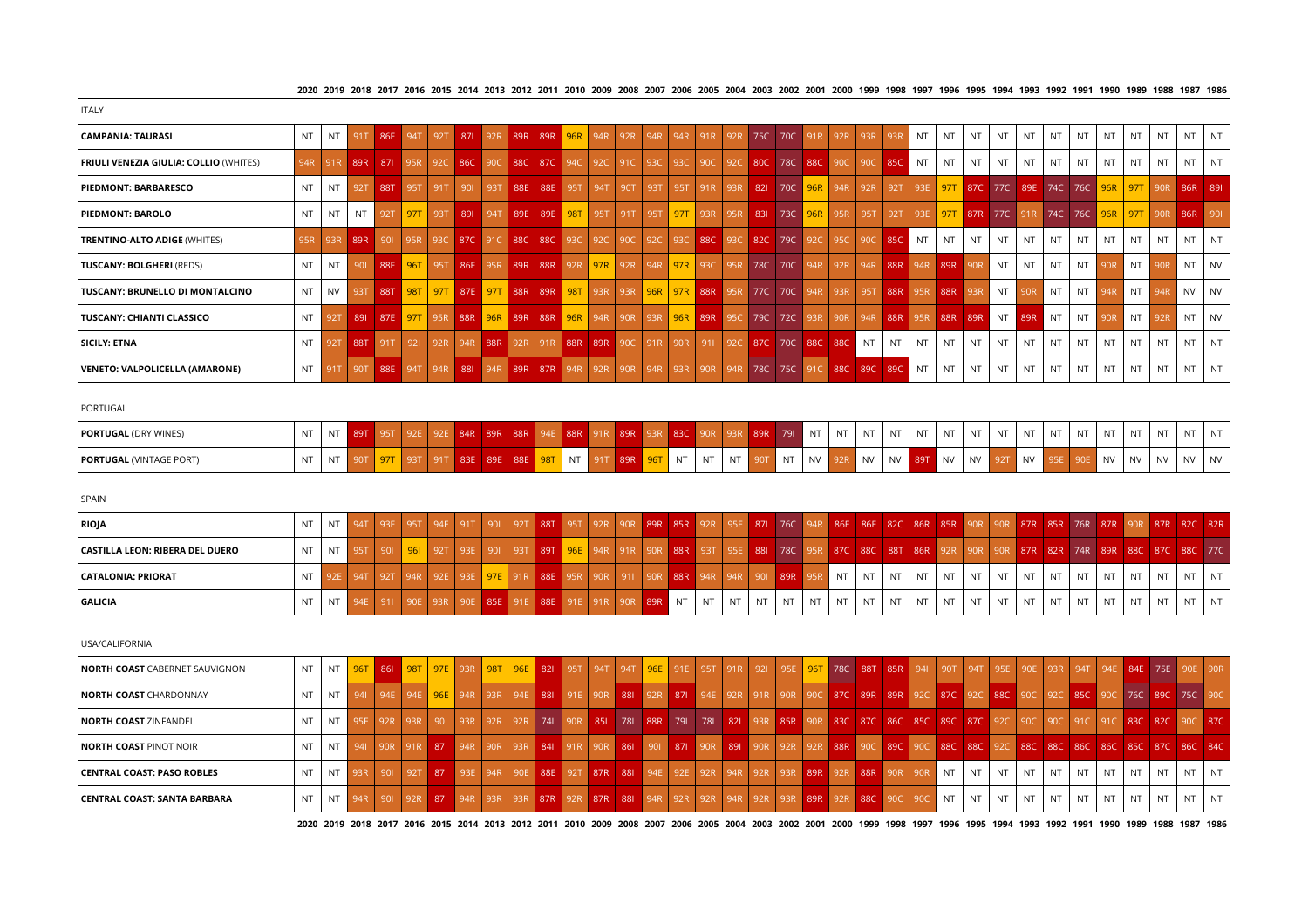2020 2019 2018 2017 2016 2015 2014 2013 2012 2011 2010 2009 2008 2007 2006 2005 2004 2003 2002 2001 2000 1999 1998 1997 1996 1997 1994 1993 1992 1991 1990 1989 1988 1987 1986

| <b>ITALY</b>                                  |           |           |         |         |                    |        |  |  |                                                 |  |  |  |                                                                                                                                 |     |     |      |     |           |           |           |           |           |           |           |           |           |           |           |           |
|-----------------------------------------------|-----------|-----------|---------|---------|--------------------|--------|--|--|-------------------------------------------------|--|--|--|---------------------------------------------------------------------------------------------------------------------------------|-----|-----|------|-----|-----------|-----------|-----------|-----------|-----------|-----------|-----------|-----------|-----------|-----------|-----------|-----------|
| CAMPANIA: TAURASI                             | NT.       |           |         |         |                    |        |  |  |                                                 |  |  |  | NT 91T 86E 94T 92T 87I 92R 89R 89R 96R 94R 92R 94R 94R 91R 92R 75C 70C 91R 92R                                                  |     |     | 93R  | 93R | <b>NT</b> | <b>NT</b> | <b>NT</b> | <b>NT</b> | <b>NT</b> | <b>NT</b> | <b>NT</b> | <b>NT</b> | <b>NT</b> | <b>NT</b> | <b>NT</b> | <b>NT</b> |
| <b>FRIULI VENEZIA GIULIA: COLLIO (WHITES)</b> |           |           |         |         |                    |        |  |  |                                                 |  |  |  | 94R 91R 89R 87I 95R 92C 86C 90C 88C 87C 94C 92C 91C 93C 93C 90C 92C 80C 78C 88C 90C 90C 85C                                     |     |     |      |     | NT        | NT.       | <b>NT</b> | <b>NT</b> | <b>NT</b> | <b>NT</b> | <b>NT</b> | NT        | <b>NT</b> | NT        | <b>NT</b> | NT        |
| <b>PIEDMONT: BARBARESCO</b>                   | NT.       |           |         |         | NT 92T 88T 95T 91T |        |  |  | 901 93T 88E 88E 95T 94T 90T 93T 95T 91R 93R 82L |  |  |  | 70C 96R 94R 92R 92T 93E 97T 87C 77C 89E 74C 76C 96R 97T 90R 86R 89I                                                             |     |     |      |     |           |           |           |           |           |           |           |           |           |           |           |           |
| <b>PIEDMONT: BAROLO</b>                       | <b>NT</b> | <b>NT</b> | NT      |         |                    |        |  |  |                                                 |  |  |  | 921 971 931 891 941 89E 89E 98T 95T 91T 95T 97T 93R 95R 83I 73C 96R 95R 95T 92T 93E 97T 87R 77C 91R 74C 76C 96R 97T 90R 86R 90I |     |     |      |     |           |           |           |           |           |           |           |           |           |           |           |           |
| <b>TRENTINO-ALTO ADIGE (WHITES)</b>           | 95R       |           |         | 89R 90L |                    |        |  |  |                                                 |  |  |  | 95R 93C 87C 91C 88C 88C 93C 92C 90C 92C 93C 88C 93C 82C 79C 92C 95C 90C 85C                                                     |     |     |      |     | NT        | NT.       | <b>NT</b> | NT        | NT        | NT        | <b>NT</b> | <b>NT</b> | <b>NT</b> | <b>NT</b> | <b>NT</b> | <b>NT</b> |
| <b>TUSCANY: BOLGHERI (REDS)</b>               | NT.       |           |         |         |                    |        |  |  |                                                 |  |  |  | NT 901 88E 96T 95T 86E 95R 89R 88R 92R 97R 92R 94R 97R 93C 95R 78C 70C 94R 92R 94R 88R 94R 89R 90R NT                           |     |     |      |     |           |           |           |           | NT        | <b>NT</b> | <b>NT</b> | 90R       | <b>NT</b> | 90R       | <b>NT</b> | <b>NV</b> |
| TUSCANY: BRUNELLO DI MONTALCINO               | NT I      |           |         |         |                    |        |  |  |                                                 |  |  |  | NV 93T 88T <mark>98T 97T 87E 97T 88R 89R 98T 93R 93R 96R 97R 88R 95R 77C 70C 94R 93R 95T 88R 95R 88R 93R NT 90R NT</mark>       |     |     |      |     |           |           |           |           |           |           |           | NT 94R    | <b>NT</b> | 94R       | NV        | <b>NV</b> |
| TUSCANY: CHIANTI CLASSICO                     |           | NT 92T    |         |         |                    |        |  |  |                                                 |  |  |  | 891 87E <mark>97T 95R 88R 96R 89R 88R 96R 49R 94R 90R 93R 96R 89R 95C 79C 72C 93R 90R 94R 88R 95R 88R 89R NT 89R NT</mark>      |     |     |      |     |           |           |           |           |           |           | <b>NT</b> | 90R       | <b>NT</b> | 92R       | <b>NT</b> | <b>NV</b> |
| <b>SICILY: ETNA</b>                           | NT.       |           | 88T 91T |         | $\vert$ 921        |        |  |  |                                                 |  |  |  | 92R 94R 88R 92R 91R 88R 89R 90C 91R 90R 91I 92C 87C 70C                                                                         | 88C | 88C | l nt | NT  | <b>NT</b> | NT        | <b>NT</b> | <b>NT</b> | <b>NT</b> | <b>NT</b> | NT        | <b>NT</b> | <b>NT</b> | <b>NT</b> | <b>NT</b> | <b>NT</b> |
| VENETO: VALPOLICELLA (AMARONE)                | NT I      |           | 90T     |         | 88E 94T            | 94R 88 |  |  |                                                 |  |  |  | 94R 89R 87R 94R 92R 90R 94R 93R 90R 94R 78C 75C 91C 88C 89C 89C                                                                 |     |     |      |     | NT        | NT.       | <b>NT</b> | <b>NT</b> | <b>NT</b> | <b>NT</b> | <b>NT</b> | <b>NT</b> | <b>NT</b> | <b>NT</b> | <b>NT</b> | <b>NT</b> |
|                                               |           |           |         |         |                    |        |  |  |                                                 |  |  |  |                                                                                                                                 |     |     |      |     |           |           |           |           |           |           |           |           |           |           |           |           |

PORTUGAL

| <b>PORTUGAL (DRY WINES)</b>    | NT |  |  |     | oad | <b>QQD</b> |    |  |           |    |                          | <b>89R</b> | 791           | N1        | , NT | <b>NIT</b><br><b>IVI</b> | <b>NIT</b><br>- <b>141</b> | <b>NIT</b><br>IN L | NT        | NT        | NT | <b>NIT</b><br><b>IVI</b> | <b>NIT</b> | $-1$ | NΤ           | <b>AIT</b> | <b>AIT</b> | <b>AIT</b>                   | NT |
|--------------------------------|----|--|--|-----|-----|------------|----|--|-----------|----|--------------------------|------------|---------------|-----------|------|--------------------------|----------------------------|--------------------|-----------|-----------|----|--------------------------|------------|------|--------------|------------|------------|------------------------------|----|
| <b>PORTUGAL (VINTAGE PORT)</b> | N1 |  |  | 33E | RQE | .oor       | NT |  | <b>NT</b> | NT | <b>AIT</b><br><b>IVI</b> |            | 5.17<br>1 V 1 | <b>NV</b> |      | NV                       | $'$ NV                     |                    | <b>NV</b> | <b>NV</b> |    | <b>NV</b>                |            |      | AB.<br>1 V V |            | <b>NV</b>  | N <sub>1</sub><br><b>IVV</b> | NV |

SPAIN

| <b>RIOJA</b>                    | NT.       |  |  |  |  |                                                                     |  |  |    |      |           |           |                                                                                                                                              |           |                          |           |                             |    |      |        |           |           |           |           |     |           | 94T 93E 95T 94E 91T 90I 92T 88T 95T 92R 90R 89R 85R 92R 95E 87I 76C 94R 86E 86E 82C 86R 85R 90R 90R 87R 85R 76R 87R 90R 87R 82C 82R |
|---------------------------------|-----------|--|--|--|--|---------------------------------------------------------------------|--|--|----|------|-----------|-----------|----------------------------------------------------------------------------------------------------------------------------------------------|-----------|--------------------------|-----------|-----------------------------|----|------|--------|-----------|-----------|-----------|-----------|-----|-----------|-------------------------------------------------------------------------------------------------------------------------------------|
| CASTILLA LEON: RIBERA DEL DUERO | <b>NT</b> |  |  |  |  |                                                                     |  |  |    |      |           |           | 901 <mark>961</mark> 92T 93E 901 93T 89T 96E 94R 91R 90R 88R 93T 95E 881 78C 95R 87C 88C 88T 86R 92R 90R 90R 87R 82R 74R 89R 88C 87C 88C 77C |           |                          |           |                             |    |      |        |           |           |           |           |     |           |                                                                                                                                     |
| CATALONIA: PRIORAT              |           |  |  |  |  | 94T 92T 94R 92E 93E 97E 91R 88E 95R 90R 911 90R 88R 94R 94R 90I 89R |  |  |    |      |           | 95R       | N                                                                                                                                            | $NT$ $NT$ |                          | <b>NT</b> | $\overline{\phantom{a}}$ NT | NT | l nt | $I$ NT | <b>NT</b> | <b>NT</b> | <b>NT</b> | <b>NT</b> |     | N         |                                                                                                                                     |
| <b>GALICIA</b>                  | <b>NT</b> |  |  |  |  | 911 90E 93R 90E 85E 91E 88E 91E 91R 90R 89R NT NT                   |  |  | NT | l nt | <b>NT</b> | <b>NT</b> | NT                                                                                                                                           |           | $\sqrt{N}$ NT $\sqrt{N}$ | NT NT     |                             | NT | l NT | NT     | NT.       | NT        | NT I      | <b>NT</b> | NT. | <b>NT</b> |                                                                                                                                     |

USA/CALIFORNIA

| <b>NORTH COAST</b> CABERNET SAUVIGNON |  |  |  |  |  |  |                                                                                                                 |  |  |  |  |  |  |    |    |   |      |         |           | NT NT <mark>96T 86L 98T 97E 93R 98T 96E 82L 95T 94T 94T 96E 91E 95T 91R 92L 95E 96T 78C 88T 8SR 94L 90T 94T 95E 90E 93R 94T 94E 84E 75E 90R 90R</mark> |         |
|---------------------------------------|--|--|--|--|--|--|-----------------------------------------------------------------------------------------------------------------|--|--|--|--|--|--|----|----|---|------|---------|-----------|--------------------------------------------------------------------------------------------------------------------------------------------------------|---------|
| <b>I NORTH COAST CHARDONNAY</b>       |  |  |  |  |  |  |                                                                                                                 |  |  |  |  |  |  |    |    |   |      |         |           | NT NT 941 94E 94E 96E 94R 93R 94E 881 91E 90R 881 92R 871 94E 92R 91R 90R 90C 87C 89R 89R 92C 87C 92C 88C 90C 92C 85C 90C 76C 89C 75C 90C              |         |
| <b>NORTH COAST ZINFANDEL</b>          |  |  |  |  |  |  |                                                                                                                 |  |  |  |  |  |  |    |    |   |      |         |           | NT NT 95E 92R 93R 901 93R 92R 74H 90R 85L 78L 88R 79L 78L 82L 93R 85R 90R 83C 87C 86C 85C 89C 87C 92C 90C 90C 91C 81C 82C 80C 87C                      |         |
| <b>NORTH COAST PINOT NOIR</b>         |  |  |  |  |  |  |                                                                                                                 |  |  |  |  |  |  |    |    |   |      |         |           |                                                                                                                                                        |         |
| <b>CENTRAL COAST: PASO ROBLES</b>     |  |  |  |  |  |  | NT NT 93R 901 92T 871 93E 94R 90E 88E 92T 87R 881 94E 92E 92R 94R 92R 93R 89R 92R 88R 90R 90R NT NT NT NT NT NT |  |  |  |  |  |  |    |    |   | NT I | INTINTI | NT        | $NT$ $NT$                                                                                                                                              |         |
| CENTRAL COAST: SANTA BARBARA          |  |  |  |  |  |  | NT NT 94R 901 92R 871 94R 93R 93R 87R 92R 87R 881 94R 92R 92R 94R 92R 93R 89R 92R 88C 90C 90C NT NT             |  |  |  |  |  |  | NT | NT | N | NT   | NT INTI | <b>NT</b> |                                                                                                                                                        | NT INTI |

2020 2019 2018 2017 2016 2015 2014 2013 2012 2011 2010 2009 2008 2007 2006 2005 2004 2003 2002 2001 2000 1999 1998 1997 1996 1995 1994 1993 1992 1991 1990 1989 1988 1987 1986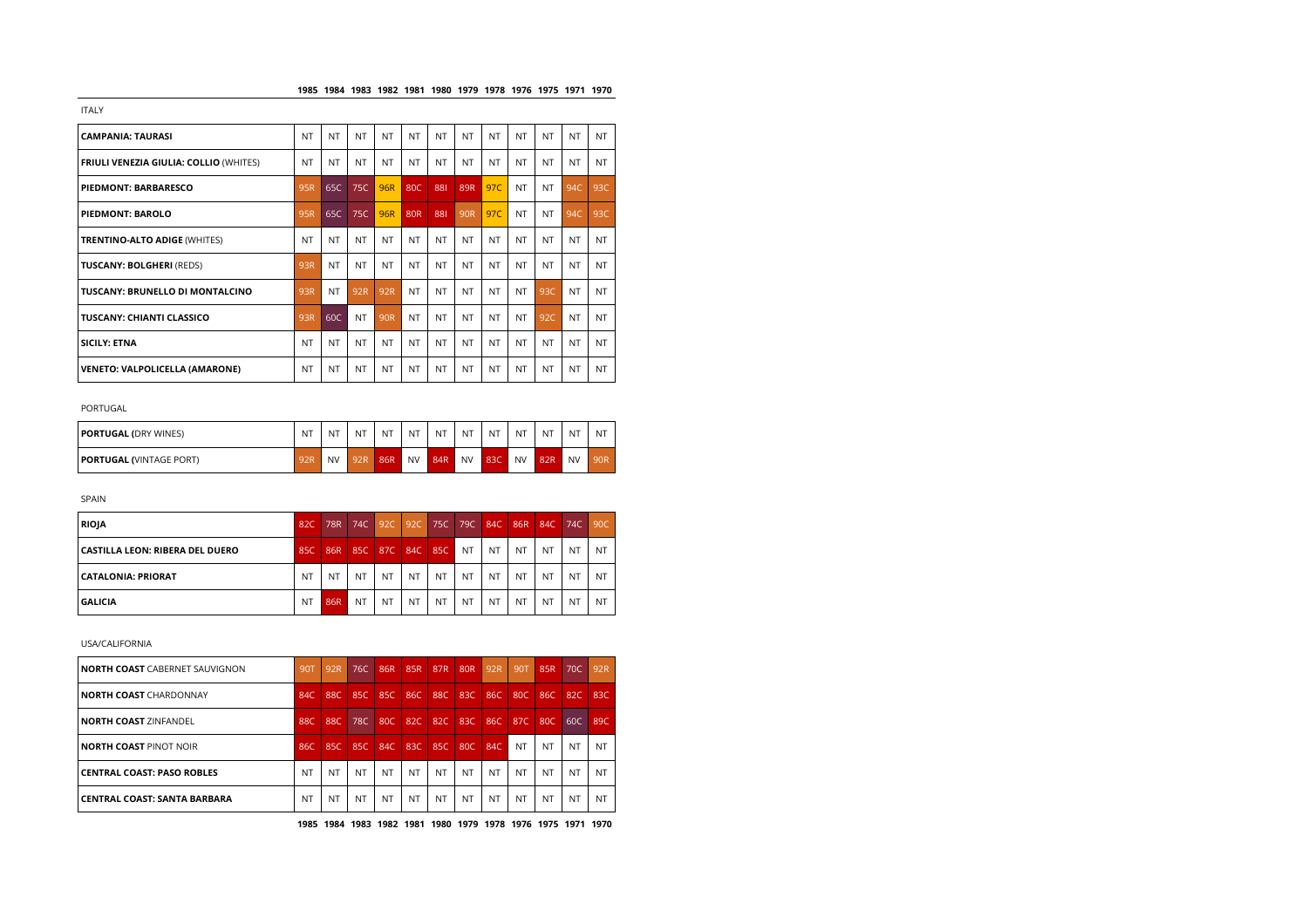| <b>CAMPANIA: TAURASI</b>                      | <b>NT</b> | NT        | NT        | <b>NT</b> | <b>NT</b>       | <b>NT</b> | <b>NT</b>       | NT        | <b>NT</b> | <b>NT</b> | <b>NT</b> | NT.       |
|-----------------------------------------------|-----------|-----------|-----------|-----------|-----------------|-----------|-----------------|-----------|-----------|-----------|-----------|-----------|
| <b>FRIULI VENEZIA GIULIA: COLLIO (WHITES)</b> | <b>NT</b> | <b>NT</b> | NT.       | <b>NT</b> | <b>NT</b>       | <b>NT</b> | <b>NT</b>       | NT        | <b>NT</b> | <b>NT</b> | <b>NT</b> | <b>NT</b> |
| PIEDMONT: BARBARESCO                          | 95R       | 65C       | 75C       | 96R       | 80C             | 881       | 89R             | 97C       | NT        | <b>NT</b> | 94C       | 93C       |
| <b>PIEDMONT: BAROLO</b>                       | 95R       | 65C       | 75C       | 96R       | 80 <sub>R</sub> | 881       | 90 <sub>R</sub> | 97C       | NT        | <b>NT</b> | 94C       | 93C       |
| <b>TRENTINO-ALTO ADIGE (WHITES)</b>           | <b>NT</b> | <b>NT</b> | NT.       | <b>NT</b> | <b>NT</b>       | <b>NT</b> | <b>NT</b>       | NT        | <b>NT</b> | <b>NT</b> | <b>NT</b> | <b>NT</b> |
| <b>TUSCANY: BOLGHERI (REDS)</b>               | 93R       | NT        | <b>NT</b> | NT        | NT              | NT        | <b>NT</b>       | <b>NT</b> | <b>NT</b> | <b>NT</b> | <b>NT</b> | <b>NT</b> |
| TUSCANY: BRUNELLO DI MONTALCINO               | 93R       | NT        | 92R       | 92R       | NT              | NT        | NT              | NT        | <b>NT</b> | 93C       | <b>NT</b> | <b>NT</b> |
| <b>TUSCANY: CHIANTI CLASSICO</b>              | 93R       | 60C       | <b>NT</b> | 90R       | NT              | <b>NT</b> | <b>NT</b>       | <b>NT</b> | NT        | 92C       | <b>NT</b> | <b>NT</b> |
| <b>SICILY: ETNA</b>                           | <b>NT</b> | NT        | NT        | <b>NT</b> | NT              | NT        | <b>NT</b>       | NT        | <b>NT</b> | <b>NT</b> | <b>NT</b> | <b>NT</b> |
| <b>VENETO: VALPOLICELLA (AMARONE)</b>         | <b>NT</b> | <b>NT</b> | NT.       | NT        | <b>NT</b>       | <b>NT</b> | <b>NT</b>       | NT.       | NT        | <b>NT</b> | <b>NT</b> | <b>NT</b> |

## PORTUGAL

| <b>PORTUGAL (DRY WINES)</b>    | NT  | NT | NT  | NT  | <b>NT</b> | NT  | <b>NT</b> | <b>NT</b> | NT        | <b>NT</b> | <b>NT</b> | N1              |
|--------------------------------|-----|----|-----|-----|-----------|-----|-----------|-----------|-----------|-----------|-----------|-----------------|
| <b>PORTUGAL (VINTAGE PORT)</b> | QOD | NV | 92R | 86R | <b>NV</b> | 84R | <b>NV</b> | 83C       | <b>NV</b> | 82R       | <b>NV</b> | 90 <sub>R</sub> |

SPAIN

| <b>RIOJA</b>                    | 82C       | <b>78R</b> | 74C       | 92C       | 92C       | <b>75C</b>     | 79C            | 84C       | 86R       | 84C       | 74C       | 90C |
|---------------------------------|-----------|------------|-----------|-----------|-----------|----------------|----------------|-----------|-----------|-----------|-----------|-----|
| CASTILLA LEON: RIBERA DEL DUERO | 85C       | 86R        | 85C       | 87C       | 84C       | 85C            | <b>NT</b>      | <b>NT</b> | NT        | NT        | NT        | NT  |
| CATALONIA: PRIORAT              | <b>NT</b> | NT.        | <b>NT</b> | NT        | <b>NT</b> | <b>NT</b>      | <b>NT</b>      | <b>NT</b> | <b>NT</b> | NT        | N1        | NT. |
| <b>GALICIA</b>                  | <b>NT</b> | 86R        | NT        | <b>NT</b> | NT        | N <sub>T</sub> | N <sub>T</sub> | NT        | <b>NT</b> | <b>NT</b> | <b>NT</b> | NT. |

USA/CALIFORNIA

| <b>NORTH COAST CABERNET SAUVIGNON</b> | 90T | 92R       | 76C | 86R | 85R | 87 <sub>R</sub> | 80 <sub>R</sub> | 92R       | 90T       | 85R       | 70C       | 92R       |
|---------------------------------------|-----|-----------|-----|-----|-----|-----------------|-----------------|-----------|-----------|-----------|-----------|-----------|
| <b>NORTH COAST CHARDONNAY</b>         | 84C | 88C       | 85C | 85C | 86C | 88C             | 83C             | 86C       | 80C       | 86C       | 82C       | 83C       |
| <b>NORTH COAST ZINFANDEL</b>          | 88C | 88C       | 78C | 80C | 82C | 82C             | 83C             | 86C       | 87C       | 80C       | 60C       | 89C       |
| NORTH COAST PINOT NOIR                | 86C | 85C       | 85C | 84C | 83C | 85C             | 80C             | 84C       | <b>NT</b> | <b>NT</b> | NT        | <b>NT</b> |
| <b>CENTRAL COAST: PASO ROBLES</b>     | NT  | <b>NT</b> | NT  | NT  | NT  | NT              | NT              | <b>NT</b> | <b>NT</b> | <b>NT</b> | <b>NT</b> | <b>NT</b> |
| CENTRAL COAST: SANTA BARBARA          | NT  | <b>NT</b> | NT  | NT  | NT  | NT              | NT              | <b>NT</b> | <b>NT</b> | <b>NT</b> | <b>NT</b> | NT        |

**1985 1984 1983 1982 1981 1980 1979 1978 1976 1975 1971 1970**

ITALY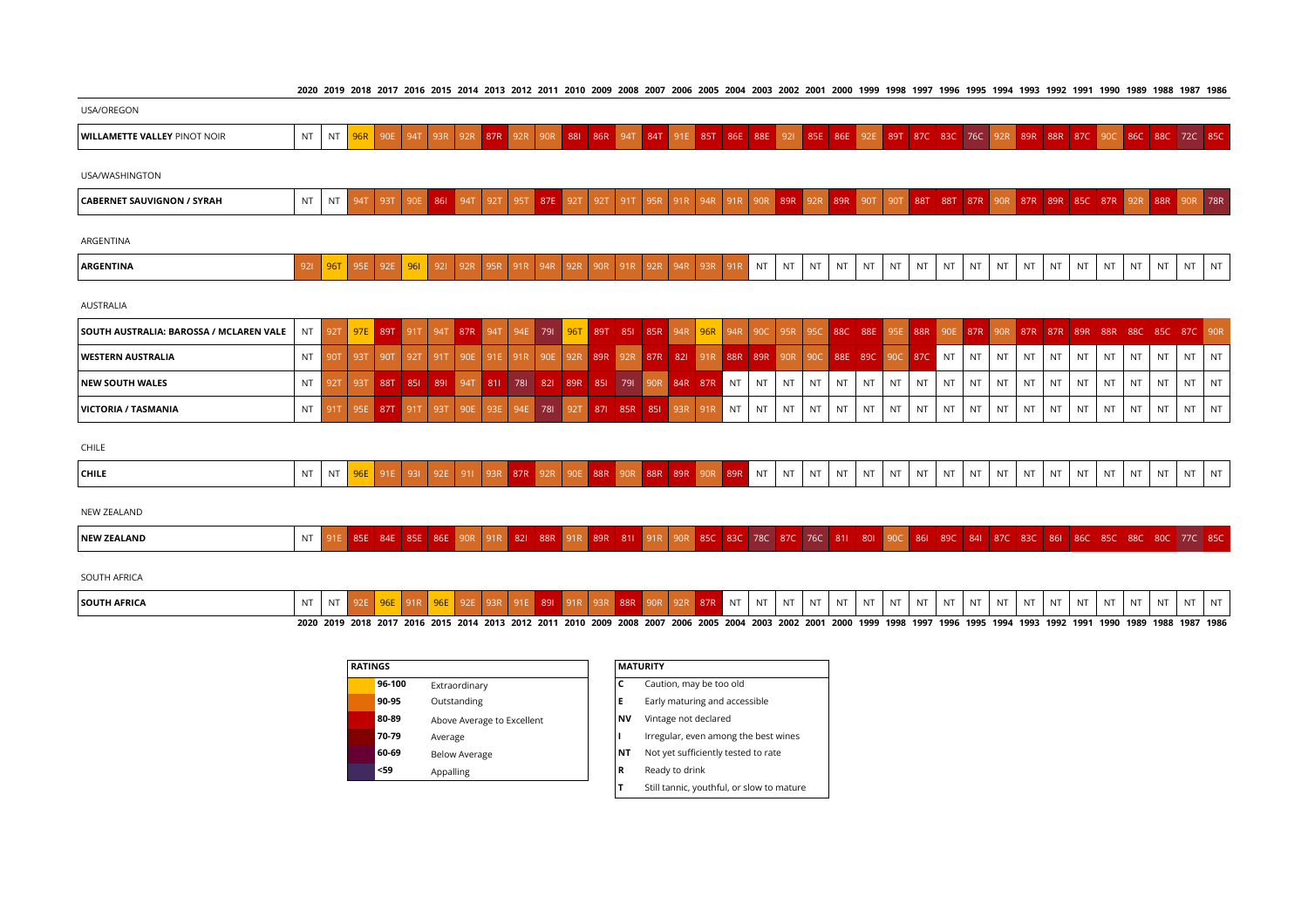2020 2019 2018 2017 2016 2015 2014 2013 2012 2011 2010 2009 2008 2007 2006 2005 2004 2003 2002 2001 2000 1999 1998 1997 1996 1997 1994 1993 1993 1991 1990 1989 1988 1987 1986

|                                     |     |           |     |             |     |                                                                                                                                     |                     |  |                 |  |  |                             |                                                     |    |           |           |           |                             |           |           |           |           |    |           |     |    |    | סטלו וטלו טללו טללו בללו כללו טללו טללו טלט בשטר בטס בשטר נטס בסטר נטס בעס בעוד בטו בער בוס בחוס בוחר בוט הבוד |           |    |           |
|-------------------------------------|-----|-----------|-----|-------------|-----|-------------------------------------------------------------------------------------------------------------------------------------|---------------------|--|-----------------|--|--|-----------------------------|-----------------------------------------------------|----|-----------|-----------|-----------|-----------------------------|-----------|-----------|-----------|-----------|----|-----------|-----|----|----|----------------------------------------------------------------------------------------------------------------|-----------|----|-----------|
| <b>USA/OREGON</b>                   |     |           |     |             |     |                                                                                                                                     |                     |  |                 |  |  |                             |                                                     |    |           |           |           |                             |           |           |           |           |    |           |     |    |    |                                                                                                                |           |    |           |
| <b>WILLAMETTE VALLEY PINOT NOIR</b> | NT  | <b>NT</b> |     |             |     | 96R 90E 94T 93R 92R 87R 92R 90R 88L 86R 94T 84T 91E 85T 86E 88E 92L 85E 86E 92E 89T 87C 83C 76C 92R 89R 88R 87C 90C 86C 88C 72C 85C |                     |  |                 |  |  |                             |                                                     |    |           |           |           |                             |           |           |           |           |    |           |     |    |    |                                                                                                                |           |    |           |
| USA/WASHINGTON                      |     |           |     |             |     |                                                                                                                                     |                     |  |                 |  |  |                             |                                                     |    |           |           |           |                             |           |           |           |           |    |           |     |    |    |                                                                                                                |           |    |           |
| <b>CABERNET SAUVIGNON / SYRAH</b>   | NT  | <b>NT</b> | 94T | 93T         | 90E | 861                                                                                                                                 | 94T                 |  | 92T 95T 87E 92T |  |  |                             | 92T 91T 95R 91R 94R 91R 90R 89R 92R 89R 90T 90T 88T |    |           |           |           |                             |           |           |           |           |    |           |     |    |    | 88T 87R 90R 87R 89R 85C 87R 92R 88R 90R 78R                                                                    |           |    |           |
| ARGENTINA                           |     |           |     |             |     |                                                                                                                                     |                     |  |                 |  |  |                             |                                                     |    |           |           |           |                             |           |           |           |           |    |           |     |    |    |                                                                                                                |           |    |           |
| <b>ARGENTINA</b>                    | 921 | 96T       |     | 95E 92E 96L |     |                                                                                                                                     | 921 92R 95R 91R 94R |  |                 |  |  | 92R 90R 91R 92R 94R 93R 91R |                                                     | NT | <b>NT</b> | <b>NT</b> | <b>NT</b> | $\overline{\phantom{a}}$ NT | <b>NT</b> | <b>NT</b> | <b>NT</b> | <b>NT</b> | NT | <b>NT</b> | NT. | NT | NT | <b>NT</b>                                                                                                      | <b>NT</b> | NT | <b>NT</b> |
| AUSTRALIA                           |     |           |     |             |     |                                                                                                                                     |                     |  |                 |  |  |                             |                                                     |    |           |           |           |                             |           |           |           |           |    |           |     |    |    |                                                                                                                |           |    |           |

| SOUTH AUSTRALIA: BAROSSA / MCLAREN VALE |           |  |         |  |  |  |  |                                                                     |  |   |    |         |                                                                                                                       |      |     |                 |                   |                   |                          |                   |           |      |           |                   | NT 92T <mark>97E 89T 91T 94T 87R 94T 94E 79I 96T 89T 85I 85R 94R 96R 94R 90C 95R 95C 88C 88E 95E 88R 90E 87R 90R 87R 87R 89R 88R 88C 85C 87C 90R</mark> |      |
|-----------------------------------------|-----------|--|---------|--|--|--|--|---------------------------------------------------------------------|--|---|----|---------|-----------------------------------------------------------------------------------------------------------------------|------|-----|-----------------|-------------------|-------------------|--------------------------|-------------------|-----------|------|-----------|-------------------|---------------------------------------------------------------------------------------------------------------------------------------------------------|------|
| <b>WESTERN AUSTRALIA</b>                | <b>NT</b> |  | $-90T$  |  |  |  |  |                                                                     |  |   |    |         | 92T   91T   90E   91E   91R   90E   92R   89R   92R   87R   82I   91R   88R   89R   90R   90C   88E   89C   90C   87C |      |     |                 | $\blacksquare$ NT | NT I              | INTINTI                  | NT                | <b>NT</b> | NT . | <b>NT</b> | $\overline{I}$ NT | $NT$ $NT$                                                                                                                                               |      |
| <b>INEW SOUTH WALES</b>                 | <b>NT</b> |  | 88T     |  |  |  |  | 85   89   94T   81   78   82   89R   85   79   90R   84R   87R   NT |  | N |    | int Int | NT.                                                                                                                   | NT.  | NT. | $\mathsf{I}$ NT | NT                | . NT <sup>1</sup> | $\sqrt{N}$ NT $\sqrt{N}$ | . NT <sup>1</sup> | NT        | NT   | NT.       | I NT              | NT NT                                                                                                                                                   |      |
| VICTORIA / TASMANIA                     | <b>NT</b> |  | 95E 87T |  |  |  |  | 91T 93T 90E 93E 94E 78I 92T 87I 85R 85I 93R 91R NT NT I             |  |   | NT | I NT    | <b>NT</b>                                                                                                             | l NT | NT. | , NT            | N                 | NT .              | INTINTI                  | . NT              | NT        | . NT | <b>NT</b> |                   | NT                                                                                                                                                      | I NT |

| CHILE        |                   |   |  |  |  |  |  |                      |     |     |    |    |    |            |           |                    |            |   |    |      |                    |    |               |            |  |
|--------------|-------------------|---|--|--|--|--|--|----------------------|-----|-----|----|----|----|------------|-----------|--------------------|------------|---|----|------|--------------------|----|---------------|------------|--|
| <b>CHILE</b> | - 5<br><b>IVI</b> | . |  |  |  |  |  | $R$ <sub>R</sub> $R$ | 89R | 89R | NT | NT | NT | <b>NIT</b> | <b>NT</b> | <b>NIT</b><br>IN L | <b>NIT</b> | . | NT | 5.17 | <b>NIT</b><br>IV L | NT | N<br><b>.</b> | <b>NIT</b> |  |

NEW ZEALAND

| ---<br>84E<br>86F<br><b>NEW ZEALAND</b><br>85E<br>NT<br><b>PLL</b> | 78C<br>88R<br>85C<br><b>830</b><br>QQ<br>811<br>- 87C<br>чены | 760<br>-89C<br>87 <sub>C</sub><br>841<br>80C<br>861<br>850<br>- 830<br>-811<br>-880<br>-860<br>-801<br>ll 900<br>-861 |
|--------------------------------------------------------------------|---------------------------------------------------------------|-----------------------------------------------------------------------------------------------------------------------|
|--------------------------------------------------------------------|---------------------------------------------------------------|-----------------------------------------------------------------------------------------------------------------------|

SOUTH AFRICA

| <b>SOUTH AFRIC</b> | <b>NIT</b> |  |                          |  |      |      |      |      |      |           |  |                | IN I                | 1 V 1 | A P<br>. . | <b>NIT</b> |                | 1 V 1 |      |      | ΝI        | ΝT          | 1 V 1 | A IT |      |      | NI |           |
|--------------------|------------|--|--------------------------|--|------|------|------|------|------|-----------|--|----------------|---------------------|-------|------------|------------|----------------|-------|------|------|-----------|-------------|-------|------|------|------|----|-----------|
|                    | 2020       |  | 2019 2018 2017 2016 2015 |  | 2014 | 2013 | 2012 | 2011 | 2010 | 2009 2008 |  | 2007 2006 2005 | 2004 2003 2002 2001 |       |            | 2000       | 1999 1998 1997 |       | 1996 | 1995 | 1994 1993 | 3 1992 1991 |       | 1990 | 1989 | 1988 |    | 1987 1986 |

| <b>RATINGS</b> |                            |           | <b>MATURITY</b>                           |
|----------------|----------------------------|-----------|-------------------------------------------|
| 96-100         | Extraordinary              | C         | Caution, may be too old                   |
| 90-95          | Outstanding                | Е         | Early maturing and accessible             |
| 80-89          | Above Average to Excellent | <b>NV</b> | Vintage not declared                      |
| 70-79          | Average                    |           | Irregular, even among the best wines      |
| 60-69          | <b>Below Average</b>       | ΝT        | Not yet sufficiently tested to rate       |
| <59            | Appalling                  | R         | Ready to drink                            |
|                |                            | Т         | Still tannic, youthful, or slow to mature |